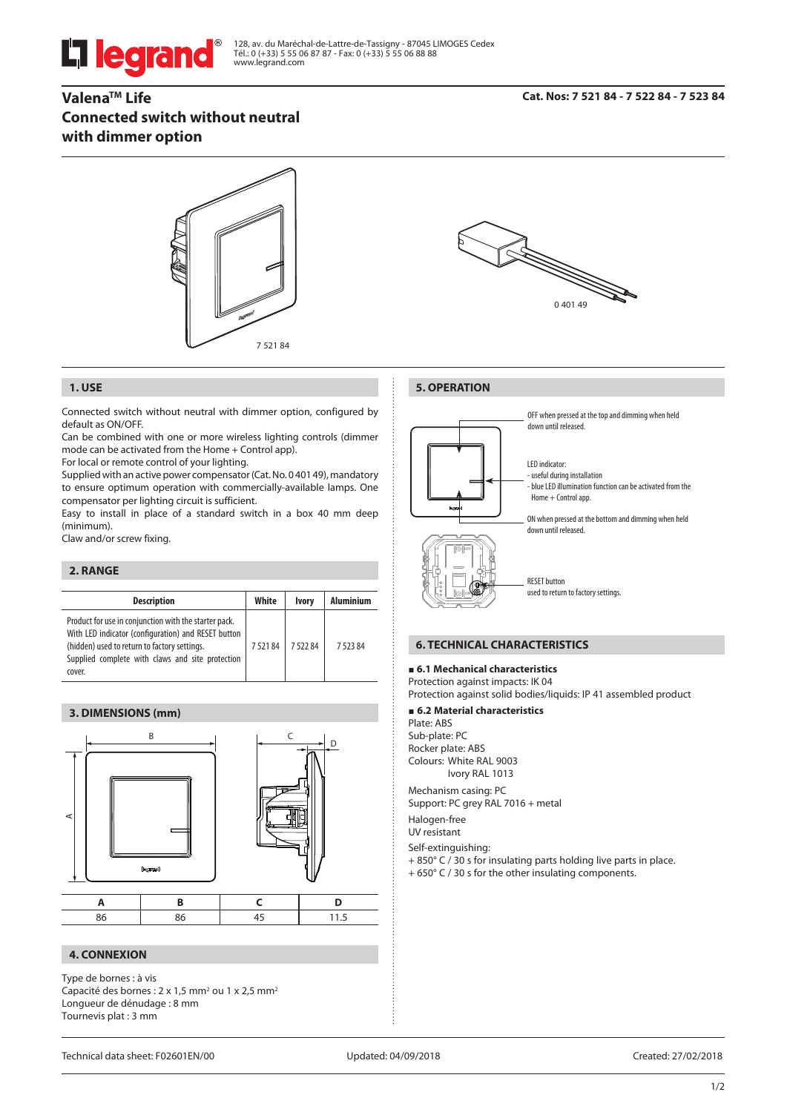# **L'i legrand**

128, av. du Maréchal-de-Lattre-de-Tassigny - 87045 LIMOGES Cedex Tél.: 0 (+33) 5 55 06 87 87 - Fax: 0 (+33) 5 55 06 88 88 www.legrand.com

# **ValenaTM Life Connected switch without neutral with dimmer option**



#### **1. USE**

Connected switch without neutral with dimmer option, configured by default as ON/OFF.

Can be combined with one or more wireless lighting controls (dimmer mode can be activated from the Home + Control app).

For local or remote control of your lighting.

Supplied with an active power compensator (Cat. No. 0 401 49), mandatory to ensure optimum operation with commercially-available lamps. One compensator per lighting circuit is sufficient.

Easy to install in place of a standard switch in a box 40 mm deep (minimum).

Claw and/or screw fixing.

#### **2. RANGE**

| <b>Description</b>                                                                                                                                                                                                         | White  | <b>Ivory</b> | <b>Aluminium</b> |
|----------------------------------------------------------------------------------------------------------------------------------------------------------------------------------------------------------------------------|--------|--------------|------------------|
| Product for use in conjunction with the starter pack.<br>With LED indicator (configuration) and RESET button<br>(hidden) used to return to factory settings.<br>Supplied complete with claws and site protection<br>cover. | 752184 | 752284       | 752384           |

# **3. DIMENSIONS (mm)**



#### **4. CONNEXION**

Type de bornes : à vis Capacité des bornes :  $2 \times 1.5$  mm<sup>2</sup> ou  $1 \times 2.5$  mm<sup>2</sup> Longueur de dénudage : 8 mm Tournevis plat : 3 mm



**5. OPERATION**

OFF when pressed at the top and dimming when held down until released.

LED indicator: - useful during installation - blue LED illumination function can be activated from the Home + Control app.

ON when pressed at the bottom and dimming when held down until released.



RESET button used to return to factory settings.

#### **6. TECHNICAL CHARACTERISTICS**

### **6.1 Mechanical characteristics**

Protection against impacts: IK 04

Protection against solid bodies/liquids: IP 41 assembled product

#### **6.2 Material characteristics**

Plate: ABS Sub-plate: PC Rocker plate: ABS Colours: White RAL 9003 Ivory RAL 1013

Mechanism casing: PC Support: PC grey RAL 7016 + metal

Halogen-free

UV resistant

Self-extinguishing:

+ 850° C / 30 s for insulating parts holding live parts in place.

+ 650° C / 30 s for the other insulating components.